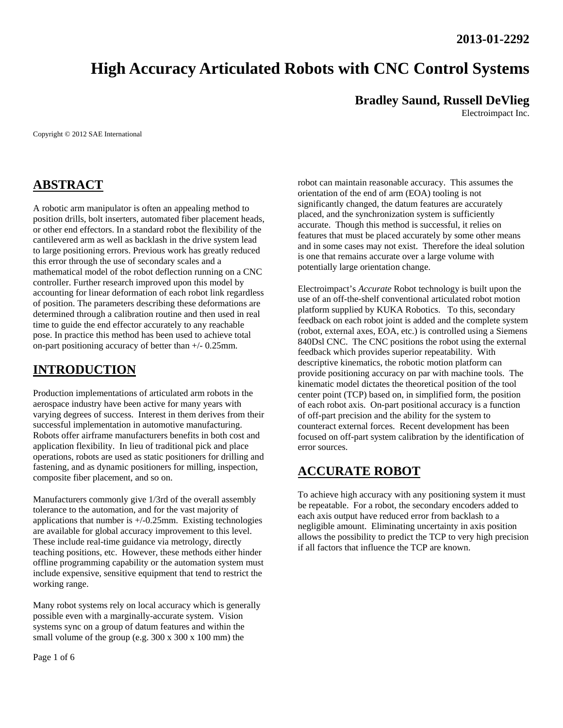# **High Accuracy Articulated Robots with CNC Control Systems**

### **Bradley Saund, Russell DeVlieg**

Electroimpact Inc.

Copyright © 2012 SAE International

## **ABSTRACT**

A robotic arm manipulator is often an appealing method to position drills, bolt inserters, automated fiber placement heads, or other end effectors. In a standard robot the flexibility of the cantilevered arm as well as backlash in the drive system lead to large positioning errors. Previous work has greatly reduced this error through the use of secondary scales and a mathematical model of the robot deflection running on a CNC controller. Further research improved upon this model by accounting for linear deformation of each robot link regardless of position. The parameters describing these deformations are determined through a calibration routine and then used in real time to guide the end effector accurately to any reachable pose. In practice this method has been used to achieve total on-part positioning accuracy of better than +/- 0.25mm.

## **INTRODUCTION**

Production implementations of articulated arm robots in the aerospace industry have been active for many years with varying degrees of success. Interest in them derives from their successful implementation in automotive manufacturing. Robots offer airframe manufacturers benefits in both cost and application flexibility. In lieu of traditional pick and place operations, robots are used as static positioners for drilling and fastening, and as dynamic positioners for milling, inspection, composite fiber placement, and so on.

Manufacturers commonly give 1/3rd of the overall assembly tolerance to the automation, and for the vast majority of applications that number is +/-0.25mm. Existing technologies are available for global accuracy improvement to this level. These include real-time guidance via metrology, directly teaching positions, etc. However, these methods either hinder offline programming capability or the automation system must include expensive, sensitive equipment that tend to restrict the working range.

Many robot systems rely on local accuracy which is generally possible even with a marginally-accurate system. Vision systems sync on a group of datum features and within the small volume of the group (e.g. 300 x 300 x 100 mm) the

Page 1 of 6

robot can maintain reasonable accuracy. This assumes the orientation of the end of arm (EOA) tooling is not significantly changed, the datum features are accurately placed, and the synchronization system is sufficiently accurate. Though this method is successful, it relies on features that must be placed accurately by some other means and in some cases may not exist. Therefore the ideal solution is one that remains accurate over a large volume with potentially large orientation change.

Electroimpact's *Accurate* Robot technology is built upon the use of an off-the-shelf conventional articulated robot motion platform supplied by KUKA Robotics. To this, secondary feedback on each robot joint is added and the complete system (robot, external axes, EOA, etc.) is controlled using a Siemens 840Dsl CNC. The CNC positions the robot using the external feedback which provides superior repeatability. With descriptive kinematics, the robotic motion platform can provide positioning accuracy on par with machine tools. The kinematic model dictates the theoretical position of the tool center point (TCP) based on, in simplified form, the position of each robot axis. On-part positional accuracy is a function of off-part precision and the ability for the system to counteract external forces. Recent development has been focused on off-part system calibration by the identification of error sources.

## **ACCURATE ROBOT**

To achieve high accuracy with any positioning system it must be repeatable. For a robot, the secondary encoders added to each axis output have reduced error from backlash to a negligible amount. Eliminating uncertainty in axis position allows the possibility to predict the TCP to very high precision if all factors that influence the TCP are known.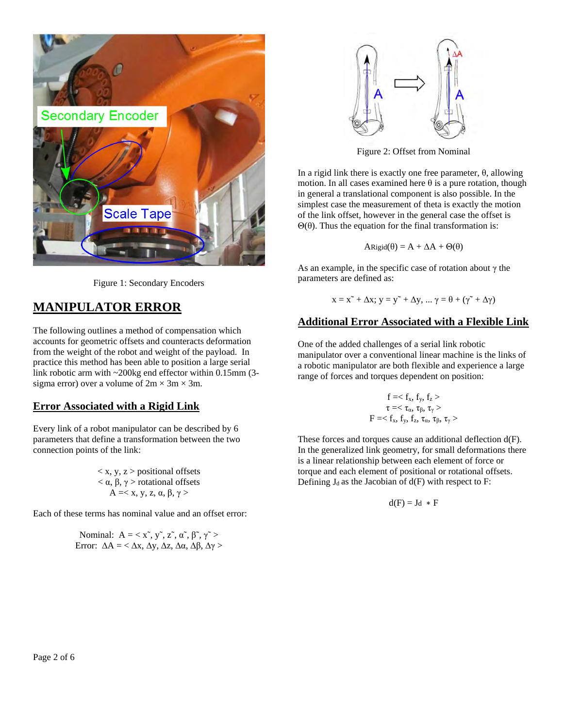

Figure 1: Secondary Encoders

## **MANIPULATOR ERROR**

The following outlines a method of compensation which accounts for geometric offsets and counteracts deformation from the weight of the robot and weight of the payload. In practice this method has been able to position a large serial link robotic arm with ~200kg end effector within 0.15mm (3 sigma error) over a volume of  $2m \times 3m \times 3m$ .

### **Error Associated with a Rigid Link**

Every link of a robot manipulator can be described by 6 parameters that define a transformation between the two connection points of the link:

> $\langle x, y, z \rangle$  positional offsets < α, β, γ > rotational offsets  $A = < x, y, z, \alpha, \beta, \gamma >$

Each of these terms has nominal value and an offset error:

Nominal:  $A = \langle x^*, y^*, z^*, \alpha^*, \beta^*, \gamma^* \rangle$ Error:  $\Delta A = \langle \Delta x, \Delta y, \Delta z, \Delta \alpha, \Delta \beta, \Delta \gamma \rangle$ 



Figure 2: Offset from Nominal

In a rigid link there is exactly one free parameter, θ, allowing motion. In all cases examined here  $\theta$  is a pure rotation, though in general a translational component is also possible. In the simplest case the measurement of theta is exactly the motion of the link offset, however in the general case the offset is Θ(θ). Thus the equation for the final transformation is:

$$
A\text{Rigid}(\theta) = A + \Delta A + \Theta(\theta)
$$

As an example, in the specific case of rotation about γ the parameters are defined as:

$$
x = x^* + \Delta x; y = y^* + \Delta y, \dots \gamma = \theta + (\gamma^* + \Delta \gamma)
$$

### **Additional Error Associated with a Flexible Link**

One of the added challenges of a serial link robotic manipulator over a conventional linear machine is the links of a robotic manipulator are both flexible and experience a large range of forces and torques dependent on position:

$$
\begin{array}{c} f = < f_x, \, f_y, \, f_z > \\ \tau = < \tau_\alpha, \, \tau_\beta, \, \tau_\gamma > \\ F = < f_x, \, f_y, \, f_z, \, \tau_\alpha, \, \tau_\beta, \, \tau_\gamma > \end{array}
$$

These forces and torques cause an additional deflection d(F). In the generalized link geometry, for small deformations there is a linear relationship between each element of force or torque and each element of positional or rotational offsets. Defining  $J_d$  as the Jacobian of  $d(F)$  with respect to F:

$$
d(F) = Jd * F
$$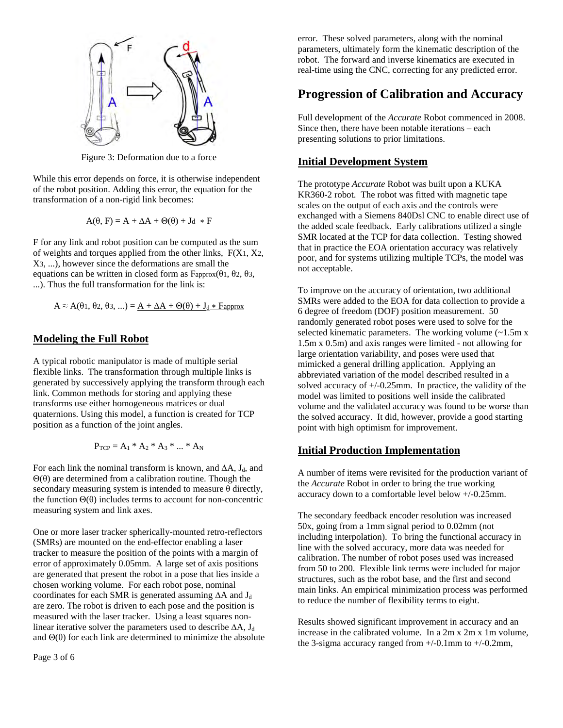

Figure 3: Deformation due to a force

While this error depends on force, it is otherwise independent of the robot position. Adding this error, the equation for the transformation of a non-rigid link becomes:

$$
A(\theta, F) = A + \Delta A + \Theta(\theta) + Jd * F
$$

F for any link and robot position can be computed as the sum of weights and torques applied from the other links, F(X1, X2, X3, ...), however since the deformations are small the equations can be written in closed form as Fapprox(θ1, θ2, θ3, ...). Thus the full transformation for the link is:

$$
A \approx A(\theta_1, \theta_2, \theta_3, ...) = A + \Delta A + \Theta(\theta) + J_d * F_{approx}
$$

### **Modeling the Full Robot**

A typical robotic manipulator is made of multiple serial flexible links. The transformation through multiple links is generated by successively applying the transform through each link. Common methods for storing and applying these transforms use either homogeneous matrices or dual quaternions. Using this model, a function is created for TCP position as a function of the joint angles.

$$
P_{TCP} = A_1 * A_2 * A_3 * ... * A_N
$$

For each link the nominal transform is known, and  $\Delta A$ , J<sub>d</sub>, and Θ(θ) are determined from a calibration routine. Though the secondary measuring system is intended to measure θ directly, the function  $\Theta(\theta)$  includes terms to account for non-concentric measuring system and link axes.

One or more laser tracker spherically-mounted retro-reflectors (SMRs) are mounted on the end-effector enabling a laser tracker to measure the position of the points with a margin of error of approximately 0.05mm. A large set of axis positions are generated that present the robot in a pose that lies inside a chosen working volume. For each robot pose, nominal coordinates for each SMR is generated assuming ∆A and J<sub>d</sub> are zero. The robot is driven to each pose and the position is measured with the laser tracker. Using a least squares nonlinear iterative solver the parameters used to describe ∆A, J<sub>d</sub> and  $\Theta(\theta)$  for each link are determined to minimize the absolute error. These solved parameters, along with the nominal parameters, ultimately form the kinematic description of the robot. The forward and inverse kinematics are executed in real-time using the CNC, correcting for any predicted error.

### **Progression of Calibration and Accuracy**

Full development of the *Accurate* Robot commenced in 2008. Since then, there have been notable iterations – each presenting solutions to prior limitations.

#### **Initial Development System**

The prototype *Accurate* Robot was built upon a KUKA KR360-2 robot. The robot was fitted with magnetic tape scales on the output of each axis and the controls were exchanged with a Siemens 840Dsl CNC to enable direct use of the added scale feedback. Early calibrations utilized a single SMR located at the TCP for data collection. Testing showed that in practice the EOA orientation accuracy was relatively poor, and for systems utilizing multiple TCPs, the model was not acceptable.

To improve on the accuracy of orientation, two additional SMRs were added to the EOA for data collection to provide a 6 degree of freedom (DOF) position measurement. 50 randomly generated robot poses were used to solve for the selected kinematic parameters. The working volume  $\left(\sim 1.5 \text{m x}\right)$ 1.5m x 0.5m) and axis ranges were limited - not allowing for large orientation variability, and poses were used that mimicked a general drilling application. Applying an abbreviated variation of the model described resulted in a solved accuracy of +/-0.25mm. In practice, the validity of the model was limited to positions well inside the calibrated volume and the validated accuracy was found to be worse than the solved accuracy. It did, however, provide a good starting point with high optimism for improvement.

#### **Initial Production Implementation**

A number of items were revisited for the production variant of the *Accurate* Robot in order to bring the true working accuracy down to a comfortable level below +/-0.25mm.

The secondary feedback encoder resolution was increased 50x, going from a 1mm signal period to 0.02mm (not including interpolation). To bring the functional accuracy in line with the solved accuracy, more data was needed for calibration. The number of robot poses used was increased from 50 to 200. Flexible link terms were included for major structures, such as the robot base, and the first and second main links. An empirical minimization process was performed to reduce the number of flexibility terms to eight.

Results showed significant improvement in accuracy and an increase in the calibrated volume. In a 2m x 2m x 1m volume, the 3-sigma accuracy ranged from  $+/-0.1$ mm to  $+/-0.2$ mm,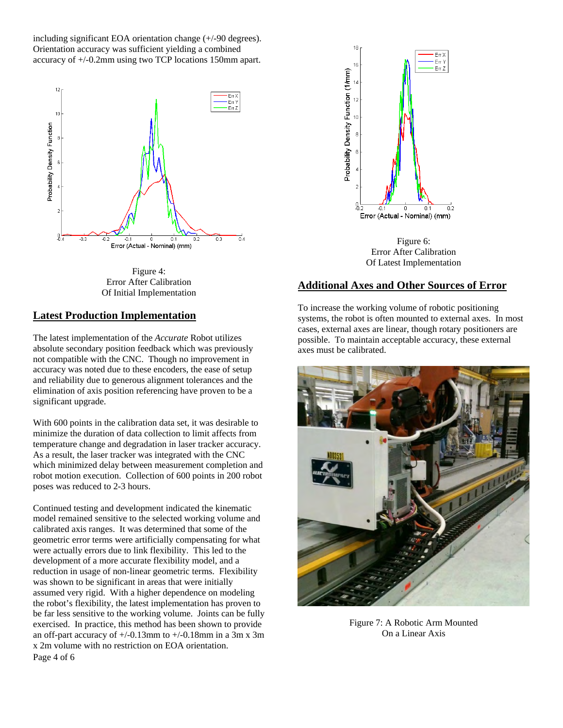including significant EOA orientation change (+/-90 degrees). Orientation accuracy was sufficient yielding a combined accuracy of +/-0.2mm using two TCP locations 150mm apart.



Figure 4: Error After Calibration Of Initial Implementation

### **Latest Production Implementation**

The latest implementation of the *Accurate* Robot utilizes absolute secondary position feedback which was previously not compatible with the CNC. Though no improvement in accuracy was noted due to these encoders, the ease of setup and reliability due to generous alignment tolerances and the elimination of axis position referencing have proven to be a significant upgrade.

With 600 points in the calibration data set, it was desirable to minimize the duration of data collection to limit affects from temperature change and degradation in laser tracker accuracy. As a result, the laser tracker was integrated with the CNC which minimized delay between measurement completion and robot motion execution. Collection of 600 points in 200 robot poses was reduced to 2-3 hours.

Page 4 of 6 Continued testing and development indicated the kinematic model remained sensitive to the selected working volume and calibrated axis ranges. It was determined that some of the geometric error terms were artificially compensating for what were actually errors due to link flexibility. This led to the development of a more accurate flexibility model, and a reduction in usage of non-linear geometric terms. Flexibility was shown to be significant in areas that were initially assumed very rigid. With a higher dependence on modeling the robot's flexibility, the latest implementation has proven to be far less sensitive to the working volume. Joints can be fully exercised. In practice, this method has been shown to provide an off-part accuracy of +/-0.13mm to +/-0.18mm in a 3m x 3m x 2m volume with no restriction on EOA orientation.



Figure 6: Error After Calibration Of Latest Implementation

### **Additional Axes and Other Sources of Error**

To increase the working volume of robotic positioning systems, the robot is often mounted to external axes. In most cases, external axes are linear, though rotary positioners are possible. To maintain acceptable accuracy, these external axes must be calibrated.



Figure 7: A Robotic Arm Mounted On a Linear Axis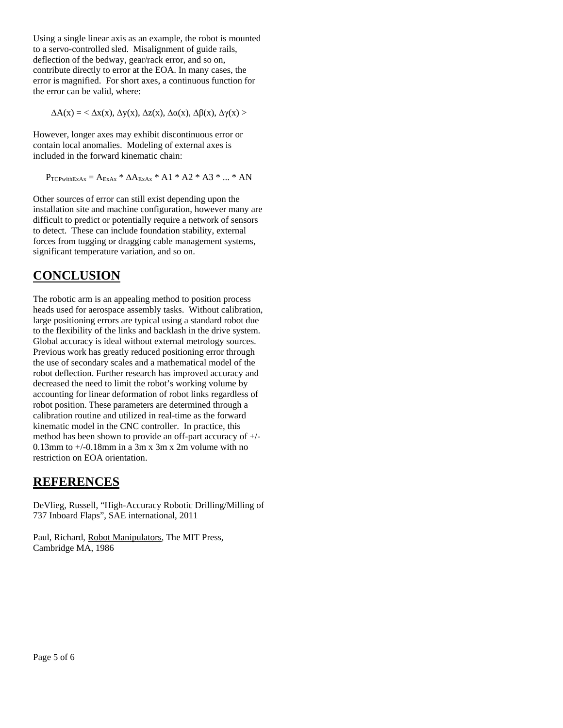Using a single linear axis as an example, the robot is mounted to a servo-controlled sled. Misalignment of guide rails, deflection of the bedway, gear/rack error, and so on, contribute directly to error at the EOA. In many cases, the error is magnified. For short axes, a continuous function for the error can be valid, where:

 $\Delta A(x) = \langle \Delta x(x), \Delta y(x), \Delta z(x), \Delta \alpha(x), \Delta \beta(x), \Delta \gamma(x) \rangle$ 

However, longer axes may exhibit discontinuous error or contain local anomalies. Modeling of external axes is included in the forward kinematic chain:

 $P_{\text{TCPwithExAx}} = A_{\text{ExAx}} * \Delta A_{\text{ExAx}} * A1 * A2 * A3 * ... * AN$ 

Other sources of error can still exist depending upon the installation site and machine configuration, however many are difficult to predict or potentially require a network of sensors to detect. These can include foundation stability, external forces from tugging or dragging cable management systems, significant temperature variation, and so on.

## **CONCLUSION**

The robotic arm is an appealing method to position process heads used for aerospace assembly tasks. Without calibration, large positioning errors are typical using a standard robot due to the flexibility of the links and backlash in the drive system. Global accuracy is ideal without external metrology sources. Previous work has greatly reduced positioning error through the use of secondary scales and a mathematical model of the robot deflection. Further research has improved accuracy and decreased the need to limit the robot's working volume by accounting for linear deformation of robot links regardless of robot position. These parameters are determined through a calibration routine and utilized in real-time as the forward kinematic model in the CNC controller. In practice, this method has been shown to provide an off-part accuracy of +/- 0.13mm to  $+/-0.18$ mm in a 3m x 3m x 2m volume with no restriction on EOA orientation.

## **REFERENCES**

DeVlieg, Russell, "High-Accuracy Robotic Drilling/Milling of 737 Inboard Flaps", SAE international, 2011

Paul, Richard, Robot Manipulators, The MIT Press, Cambridge MA, 1986